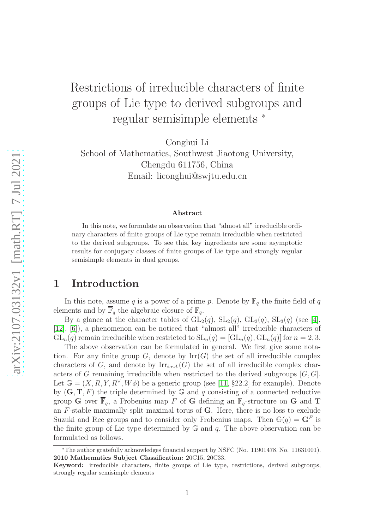# Restrictions of irreducible characters of finite groups of Lie type to derived subgroups and regular semisimple elements <sup>∗</sup>

Conghui Li

School of Mathematics, Southwest Jiaotong University, Chengdu 611756, China Email: liconghui@swjtu.edu.cn

#### Abstract

In this note, we formulate an observation that "almost all" irreducible ordinary characters of finite groups of Lie type remain irreducible when restricted to the derived subgroups. To see this, key ingredients are some asymptotic results for conjugacy classes of finite groups of Lie type and strongly regular semisimple elements in dual groups.

# 1 Introduction

In this note, assume q is a power of a prime p. Denote by  $\mathbb{F}_q$  the finite field of q elements and by  $\overline{\mathbb{F}}_q$  the algebraic closure of  $\mathbb{F}_q$ .

By a glance at the character tables of  $GL_2(q)$ ,  $SL_2(q)$ ,  $GL_3(q)$ ,  $SL_3(q)$  (see [\[4\]](#page-8-0), [\[12\]](#page-8-1), [\[6\]](#page-8-2)), a phenomenon can be noticed that "almost all" irreducible characters of  $GL_n(q)$  remain irreducible when restricted to  $SL_n(q) = [GL_n(q), GL_n(q)]$  for  $n = 2, 3$ .

The above observation can be formulated in general. We first give some notation. For any finite group G, denote by  $\mathrm{Irr}(G)$  the set of all irreducible complex characters of G, and denote by  $\text{Irr}_{i,r,d}(G)$  the set of all irreducible complex characters of G remaining irreducible when restricted to the derived subgroups  $[G, G]$ . Let  $\mathbb{G} = (X, R, Y, R^{\vee}, W\phi)$  be a generic group (see [\[11,](#page-8-3) §22.2] for example). Denote by  $(G, T, F)$  the triple determined by  $\mathbb G$  and  $q$  consisting of a connected reductive group G over  $\overline{\mathbb{F}}_q$ , a Frobenius map F of G defining an  $\mathbb{F}_q$ -structure on G and T an  $F$ -stable maximally split maximal torus of  $G$ . Here, there is no loss to exclude Suzuki and Ree groups and to consider only Frobenius maps. Then  $\mathbb{G}(q) = \mathbf{G}^F$  is the finite group of Lie type determined by  $\mathbb G$  and  $q$ . The above observation can be formulated as follows.

<sup>∗</sup>The author gratefully acknowledges financial support by NSFC (No. 11901478, No. 11631001). 2010 Mathematics Subject Classification: 20C15, 20C33.

Keyword: irreducible characters, finite groups of Lie type, restrictions, derived subgroups, strongly regular semisimple elements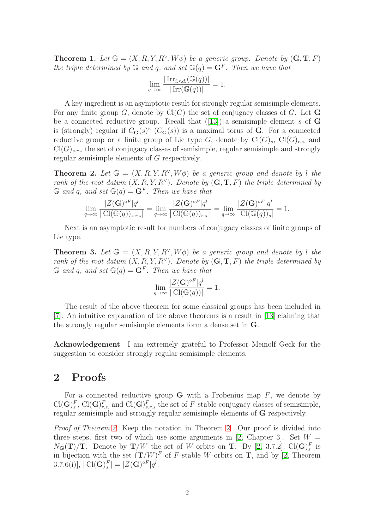<span id="page-1-2"></span>**Theorem 1.** Let  $\mathbb{G} = (X, R, Y, R^{\vee}, W\phi)$  be a generic group. Denote by  $(G, T, F)$ the triple determined by  $\mathbb G$  and q, and set  $\mathbb G(q) = \mathbf G^F$ . Then we have that

$$
\lim_{q \to \infty} \frac{|\operatorname{Irr}_{i.r.d.}(\mathbb{G}(q))|}{|\operatorname{Irr}(\mathbb{G}(q))|} = 1.
$$

A key ingredient is an asymptotic result for strongly regular semisimple elements. For any finite group G, denote by  $Cl(G)$  the set of conjugacy classes of G. Let G bea connected reductive group. Recall that  $(13)$  a semisimple element s of G is (strongly) regular if  $C_{\bf G}(s)$ <sup>°</sup> ( $C_{\bf G}(s)$ ) is a maximal torus of **G**. For a connected reductive group or a finite group of Lie type G, denote by  $Cl(G)<sub>s</sub>, Cl(G)<sub>r,s</sub>$  and  $Cl(G)$ <sub>s.r.s</sub> the set of conjugacy classes of semisimple, regular semisimple and strongly regular semisimple elements of G respectively.

<span id="page-1-0"></span>**Theorem 2.** Let  $\mathbb{G} = (X, R, Y, R^{\vee}, W\phi)$  be a generic group and denote by l the rank of the root datum  $(X, R, Y, R^{\vee})$ . Denote by  $(G, T, F)$  the triple determined by  $\mathbb G$  and q, and set  $\mathbb G(q) = \mathbf G^F$ . Then we have that

$$
\lim_{q \to \infty} \frac{|Z(\mathbf{G})^{\circ F}|q^l}{|\operatorname{Cl}(\mathbb{G}(q))_{s.r.s}|} = \lim_{q \to \infty} \frac{|Z(\mathbf{G})^{\circ F}|q^l}{|\operatorname{Cl}(\mathbb{G}(q))_{r.s.}|} = \lim_{q \to \infty} \frac{|Z(\mathbf{G})^{\circ F}|q^l}{|\operatorname{Cl}(\mathbb{G}(q))_s|} = 1.
$$

Next is an asymptotic result for numbers of conjugacy classes of finite groups of Lie type.

<span id="page-1-1"></span>**Theorem 3.** Let  $\mathbb{G} = (X, R, Y, R^{\vee}, W\phi)$  be a generic group and denote by l the rank of the root datum  $(X, R, Y, R^{\vee})$ . Denote by  $(G, T, F)$  the triple determined by  $\mathbb G$  and q, and set  $\mathbb G(q) = \mathbf G^F$ . Then we have that

$$
\lim_{q \to \infty} \frac{|Z(\mathbf{G})^{\circ F}|q^l}{|\operatorname{Cl}(\mathbb{G}(q))|} = 1.
$$

The result of the above theorem for some classical groups has been included in [\[7\]](#page-8-5). An intuitive explanation of the above theorems is a result in [\[13\]](#page-8-4) claiming that the strongly regular semisimple elements form a dense set in G.

Acknowledgement I am extremely grateful to Professor Meinolf Geck for the suggestion to consider strongly regular semisimple elements.

### 2 Proofs

For a connected reductive group  $\bf{G}$  with a Frobenius map  $F$ , we denote by  $\text{Cl}(\mathbf{G})_s^F$ ,  $\text{Cl}(\mathbf{G})_{r,s}^F$  and  $\text{Cl}(\mathbf{G})_{s,r,s}^F$  the set of F-stable conjugacy classes of semisimple, regular semisimple and strongly regular semisimple elements of G respectively.

Proof of Theorem [2.](#page-1-0) Keep the notation in Theorem 2. Our proof is divided into three steps, first two of which use some arguments in [\[2,](#page-8-6) Chapter 3]. Set  $W =$  $N_{\mathbf{G}}(\mathbf{T})/\mathbf{T}$ . Denote by  $\mathbf{T}/W$  the set of W-orbits on T. By [\[2,](#page-8-6) 3.7.2], Cl( $\mathbf{G})_s^F$  is in bijection with the set  $(T/W)^F$  of F-stable W-orbits on T, and by [\[2,](#page-8-6) Theorem 3.7.6(i)],  $| \text{Cl}(G)_{s}^{F} | = |Z(G)^{\circ F}| q^{l}.$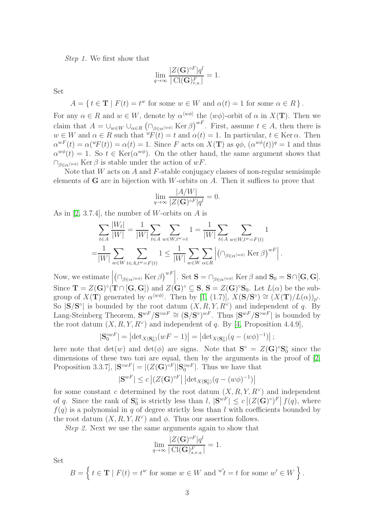Step 1. We first show that

$$
\lim_{q \to \infty} \frac{|Z(\mathbf{G})^{\circ F}|q^l}{|\operatorname{Cl}(\mathbf{G})^F_{r.s.}|} = 1.
$$

Set

 $A = \{ t \in \mathbf{T} \mid F(t) = t^w \text{ for some } w \in W \text{ and } \alpha(t) = 1 \text{ for some } \alpha \in R \}.$ 

For any  $\alpha \in R$  and  $w \in W$ , denote by  $\alpha^{\langle w\phi \rangle}$  the  $\langle w\phi \rangle$ -orbit of  $\alpha$  in  $X(\mathbf{T})$ . Then we claim that  $A = \bigcup_{w \in W} \bigcup_{\alpha \in R} (\bigcap_{\beta \in \alpha^{(w\phi)}} \text{Ker }\beta)^{wF}$ . First, assume  $t \in A$ , then there is  $w \in W$  and  $\alpha \in R$  such that  $\psi F(t) = t$  and  $\alpha(t) = 1$ . In particular,  $t \in \text{Ker }\alpha$ . Then  $\alpha^{wF}(t) = \alpha({}^wF(t)) = \alpha(t) = 1$ . Since F acts on  $X(T)$  as  $q\phi$ ,  $(\alpha^{w\phi}(t))^q = 1$  and thus  $\alpha^{w\phi}(t) = 1$ . So  $t \in \text{Ker}(\alpha^{w\phi})$ . On the other hand, the same argument shows that  $\bigcap_{\beta \in \alpha \langle w\phi \rangle}$  Ker  $\beta$  is stable under the action of  $wF$ .

Note that  $W$  acts on  $A$  and  $F$ -stable conjugacy classes of non-regular semisimple elements of  $G$  are in bijection with W-orbits on  $A$ . Then it suffices to prove that

$$
\lim_{q \to \infty} \frac{|A/W|}{|Z(\mathbf{G})^{\circ F}|q^l} = 0.
$$

As in [\[2,](#page-8-6) 3.7.4], the number of W-orbits on  $A$  is

$$
\sum_{t \in A} \frac{|W_t|}{|W|} = \frac{1}{|W|} \sum_{t \in A} \sum_{w \in W, t^w = t} 1 = \frac{1}{|W|} \sum_{t \in A} \sum_{w \in W, t^w = F(t)} 1
$$

$$
= \frac{1}{|W|} \sum_{w \in W} \sum_{t \in A, t^w = F(t)} 1 \le \frac{1}{|W|} \sum_{w \in W} \sum_{\alpha \in R} |(\bigcap_{\beta \in \alpha \langle w \phi \rangle} \text{Ker } \beta)^{wF}|.
$$

Now, we estimate  $\begin{array}{c} \hline \end{array}$  $(\bigcap_{\beta \in \alpha^{\langle w\phi\rangle}} \text{Ker}\,\beta)^{wF}$ . Set  $\mathbf{S} = \bigcap_{\beta \in \alpha^{\langle w\phi\rangle}} \text{Ker}\,\beta$  and  $\mathbf{S}_0 = \mathbf{S} \cap [\mathbf{G},\mathbf{G}].$ Since  $\mathbf{T} = Z(\mathbf{G})^{\circ}(\mathbf{T} \cap [\mathbf{G}, \mathbf{G}])$  and  $Z(\mathbf{G})^{\circ} \subseteq \mathbf{S}$ ,  $\mathbf{S} = Z(\mathbf{G})^{\circ} \mathbf{S}_0$ . Let  $L(\alpha)$  be the subgroup of  $X(\mathbf{T})$  generated by  $\alpha^{\langle w\phi\rangle}$ . Then by [\[1,](#page-8-7) (1.7)],  $X(\mathbf{S/S}^{\circ}) \cong (X(\mathbf{T})/L(\alpha))_{p'}$ . So  $|S/S^{\circ}|$  is bounded by the root datum  $(X, R, Y, R^{\vee})$  and independent of q. By Lang-Steinberg Theorem,  $S^{wF}/S^{wF} \cong (S/S^{\circ})^{wF}$ . Thus  $|S^{wF}/S^{\circ wF}|$  is bounded by the root datum  $(X, R, Y, R^{\vee})$  and independent of q. By [\[4,](#page-8-0) Proposition 4.4.9],

$$
|\mathbf{S}_0^{\circ wF}| = \left| \det_{X(\mathbf{S}_0^{\circ})}(wF - 1) \right| = \left| \det_{X(\mathbf{S}_0^{\circ})}(q - (w\phi)^{-1}) \right|;
$$

here note that  $det(w)$  and  $det(\phi)$  are signs. Note that  $S^{\circ} = Z(G)^{\circ}S^{\circ}_0$  since the dimensions of these two tori are equal, then by the arguments in the proof of  $[2,$ Proposition 3.3.7],  $|\mathbf{S}^{\circ wF}| = |(Z(\mathbf{G})^{\circ F}||\mathbf{S}_0^{\circ wF}|$ . Thus we have that

$$
|\mathbf{S}^{wF}|\leq c\left|(Z(\mathbf{G})^{\circ F}|\left|\mathrm{det}_{X(\mathbf{S}_0^{\circ})}(q-(w\phi)^{-1})\right|\right)
$$

for some constant c determined by the root datum  $(X, R, Y, R<sup>\vee</sup>)$  and independent of q. Since the rank of  $S_0^{\circ}$  is strictly less than  $l, |\mathbf{S}^{wF}| \leq c |(Z(\mathbf{G})^{\circ})^F| f(q)$ , where  $f(q)$  is a polynomial in q of degree strictly less than l with coefficients bounded by the root datum  $(X, R, Y, R^{\vee})$  and  $\phi$ . Thus our assertion follows.

Step 2. Next we use the same arguments again to show that

$$
\lim_{q \to \infty} \frac{|Z(\mathbf{G})^{\circ F}|q^l}{|\operatorname{Cl}(\mathbf{G})^F_{s.r.s.}|} = 1.
$$

Set

$$
B = \left\{ t \in \mathbf{T} \mid F(t) = t^w \text{ for some } w \in W \text{ and } {}^{w'}\!t = t \text{ for some } w' \in W \right\}.
$$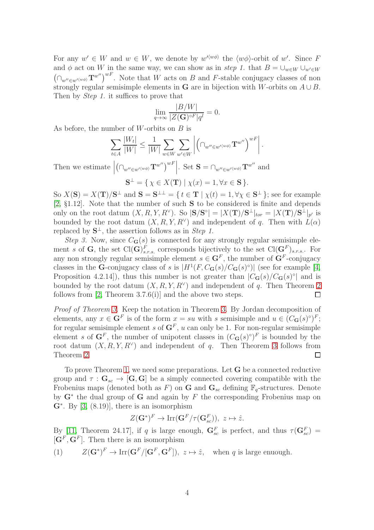For any  $w' \in W$  and  $w \in W$ , we denote by  $w'^{\langle w\phi \rangle}$  the  $\langle w\phi \rangle$ -orbit of w'. Since F and  $\phi$  act on W in the same way, we can show as in step 1. that  $B = \bigcup_{w \in W} \bigcup_{w' \in W}$  $(\bigcap_{w''\in w'^{\langle w\phi\rangle}}\mathbf{T}^{w''}\big)^{wF}$ . Note that W acts on B and F-stable conjugacy classes of non strongly regular semisimple elements in G are in bijection with W-orbits on  $A \cup B$ . Then by *Step 1*. it suffices to prove that

$$
\lim_{q\to\infty}\frac{|B/W|}{|Z({\mathbf G})^{\circ F}|q^l}=0.
$$

As before, the number of  $W$ -orbits on  $B$  is

$$
\sum_{t \in A} \frac{|W_t|}{|W|} \le \frac{1}{|W|} \sum_{w \in W} \sum_{w' \in W} \left| \left( \bigcap_{w'' \in w'^{\langle w \phi \rangle}} {\mathbf{T}^{w''}} \right)^{wF} \right|.
$$

Then we estimate  $\left(\cap_{w''\in w'^{\langle w\phi\rangle}}\mathbf{T}^{w''}\right)^{wF}\Big|\text{. Set }\mathbf{S}=\cap_{w''\in w'^{\langle w\phi\rangle}}\mathbf{T}^{w''}$  and  $S^{\perp} = \{ \chi \in X(\mathbf{T}) \mid \chi(x) = 1, \forall x \in \mathbf{S} \}.$ 

So  $X(S) = X(T)/S^{\perp}$  and  $S = S^{\perp \perp} = \{ t \in T \mid \chi(t) = 1, \forall \chi \in S^{\perp} \}$ ; see for example [\[2,](#page-8-6) §1.12]. Note that the number of such S to be considered is finite and depends only on the root datum  $(X, R, Y, R^{\vee})$ . So  $|\mathbf{S}/\mathbf{S}^{\circ}| = |X(\mathbf{T})/\mathbf{S}^{\perp}|_{tor} = |X(\mathbf{T})/\mathbf{S}^{\perp}|_{p'}$  is bounded by the root datum  $(X, R, Y, R^{\vee})$  and independent of q. Then with  $L(\alpha)$ replaced by  $S^{\perp}$ , the assertion follows as in Step 1.

Step 3. Now, since  $C_G(s)$  is connected for any strongly regular semisimple element s of G, the set Cl $(\mathbf{G})_{s,r,s}^F$  corresponds bijectively to the set Cl $(\mathbf{G}^F)_{s,r,s}$ . For any non strongly regular semisimple element  $s \in \mathbf{G}^F$ , the number of  $\mathbf{G}^F$ -conjugacy classes in the **G**-conjugacy class of s is  $|H^1(F, C_G(s)/C_G(s)^\circ)|$  (see for example [\[4,](#page-8-0) Proposition 4.2.14]), thus this number is not greater than  $|C_{\bf G}(s)/C_{\bf G}(s)$ <sup>o</sup> and is bounded by the root datum  $(X, R, Y, R^{\vee})$  and independent of q. Then Theorem [2](#page-1-0) follows from  $[2,$  Theorem 3.7.6(i)] and the above two steps.  $\Box$ 

Proof of Theorem [3.](#page-1-1) Keep the notation in Theorem [3.](#page-1-1) By Jordan decomposition of elements, any  $x \in \mathbf{G}^F$  is of the form  $x = su$  with s semisimple and  $u \in (C_{\mathbf{G}}(s)^{\circ})^F$ ; for regular semisimple element s of  $G^F$ , u can only be 1. For non-regular semisimple element s of  $G^F$ , the number of unipotent classes in  $(C_G(s)^\circ)^F$  is bounded by the root datum  $(X, R, Y, R^{\vee})$  and independent of q. Then Theorem [3](#page-1-1) follows from Theorem [2.](#page-1-0)  $\Box$ 

To prove Theorem [1,](#page-1-2) we need some preparations. Let G be a connected reductive group and  $\tau : G_{sc} \to [G, G]$  be a simply connected covering compatible with the Frobenius maps (denoted both as F) on **G** and  $\mathbf{G}_{sc}$  defining  $\mathbb{F}_q$ -structures. Denote by  $G^*$  the dual group of G and again by F the corresponding Frobenius map on  $\mathbf{G}^*$ . By [\[3,](#page-8-8) (8.19)], there is an isomorphism

$$
Z(\mathbf{G}^*)^F \to \text{Irr}(\mathbf{G}^F/\tau(\mathbf{G}_{sc}^F)), \ z \mapsto \hat{z}.
$$

By [\[11,](#page-8-3) Theorem 24.17], if q is large enough,  $\mathbf{G}_{sc}^{F}$  is perfect, and thus  $\tau(\mathbf{G}_{sc}^{F})$  =  $[\mathbf{G}^F, \mathbf{G}^F]$ . Then there is an isomorphism

<span id="page-3-0"></span>(1) 
$$
Z(\mathbf{G}^*)^F \to \text{Irr}(\mathbf{G}^F/[\mathbf{G}^F, \mathbf{G}^F]), z \mapsto \hat{z}, \text{ when } q \text{ is large enough.}
$$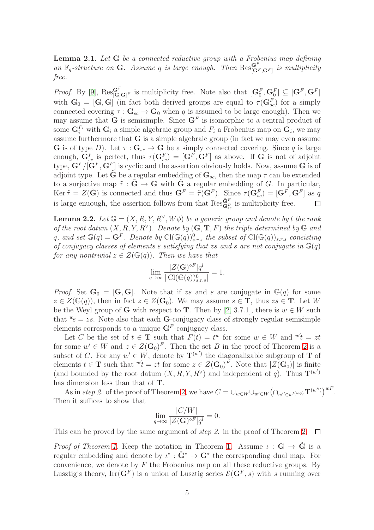<span id="page-4-1"></span>**Lemma 2.1.** Let  $G$  be a connected reductive group with a Frobenius map defining an  $\mathbb{F}_q$ -structure on **G**. Assume q is large enough. Then  $\text{Res}_{[\mathbf{G}^F,\mathbf{G}^F]}^{\mathbf{G}^F}$  is multiplicity free.

*Proof.* By [\[9\]](#page-8-9),  $\operatorname{Res}^{G^F}_{[\mathbf{G},\mathbf{G}]^F}$  is multiplicity free. Note also that  $[\mathbf{G}_0^F,\mathbf{G}_0^F] \subseteq [\mathbf{G}^F,\mathbf{G}^F]$ with  $G_0 = [G, G]$  (in fact both derived groups are equal to  $\tau(G_{sc}^F)$  for a simply connected covering  $\tau : \mathbf{G}_{sc} \to \mathbf{G}_0$  when q is assumed to be large enough). Then we may assume that **G** is semisimple. Since  $G<sup>F</sup>$  is isomorphic to a central product of some  $\mathbf{G}_i^{F_i}$  with  $\mathbf{G}_i$  a simple algebraic group and  $F_i$  a Frobenius map on  $\mathbf{G}_i$ , we may assume furthermore that  $G$  is a simple algebraic group (in fact we may even assume **G** is of type D). Let  $\tau : \mathbf{G}_{sc} \to \mathbf{G}$  be a simply connected covering. Since q is large enough,  $\mathbf{G}_{sc}^{F}$  is perfect, thus  $\tau(\mathbf{G}_{sc}^{F}) = [\mathbf{G}^{F}, \mathbf{G}^{F}]$  as above. If  $\mathbf{G}$  is not of adjoint type,  $\mathbf{G}^F/[\mathbf{G}^F,\mathbf{G}^F]$  is cyclic and the assertion obviously holds. Now, assume G is of adjoint type. Let **G** be a regular embedding of  $\mathbf{G}_{sc}$ , then the map  $\tau$  can be extended to a surjective map  $\tilde{\tau}: \tilde{G} \to G$  with  $\tilde{G}$  a regular embedding of G. In particular, Ker  $\tilde{\tau} = Z(\tilde{G})$  is connected and thus  $G^F = \tilde{\tau}(\tilde{G}^F)$ . Since  $\tau(\tilde{G}_{sc}^F) = [G^F, G^F]$  as q is large enuough, the assertion follows from that  $\operatorname{Res}^{\tilde{\mathbf{G}}_F}_{\mathbf{G}_{sc}}$  is multiplicity free.  $\Box$ 

<span id="page-4-0"></span>**Lemma 2.2.** Let  $\mathbb{G} = (X, R, Y, R^{\vee}, W\phi)$  be a generic group and denote by l the rank of the root datum  $(X, R, Y, R^{\vee})$ . Denote by  $(G, T, F)$  the triple determined by  $\mathbb G$  and q, and set  $\mathbb{G}(q) = \mathbf{G}^F$ . Denote by  $\text{Cl}(\mathbb{G}(q))_{s.r.s}^0$  the subset of  $\text{Cl}(\mathbb{G}(q))_{s.r.s}$  consisting of conjugacy classes of elements s satisfying that zs and s are not conjugate in  $\mathbb{G}(q)$ for any nontrivial  $z \in Z(\mathbb{G}(q))$ . Then we have that

$$
\lim_{q \to \infty} \frac{|Z(\mathbf{G})^{\circ F}|q^l}{|\operatorname{Cl}(\mathbb{G}(q))_{s.r.s}^0|} = 1.
$$

*Proof.* Set  $G_0 = [G, G]$ . Note that if zs and s are conjugate in  $G(q)$  for some  $z \in Z(\mathbb{G}(q))$ , then in fact  $z \in Z(\mathbf{G}_0)$ . We may assume  $s \in \mathbf{T}$ , thus  $zs \in \mathbf{T}$ . Let W be the Weyl group of G with respect to T. Then by [\[2,](#page-8-6) 3.7.1], there is  $w \in W$  such that  $\mathscr{C}_s = zs$ . Note also that each **G**-conjugacy class of strongly regular semisimple elements corresponds to a unique  $\mathbf{G}^F$ -conjugacy class.

Let C be the set of  $t \in \mathbf{T}$  such that  $F(t) = t^w$  for some  $w \in W$  and  $w't = zt$ for some  $w' \in W$  and  $z \in Z(\mathbf{G}_0)^F$ . Then the set B in the proof of Theorem [2](#page-1-0) is a subset of C. For any  $w' \in W$ , denote by  $\mathbf{T}^{(w')}$  the diagonalizable subgroup of T of elements  $t \in \mathbf{T}$  such that  $\psi'_t = zt$  for some  $z \in Z(\mathbf{G}_0)^F$ . Note that  $|Z(\mathbf{G}_0)|$  is finite (and bounded by the root datum  $(X, R, Y, R^{\vee})$  and independent of q). Thus  $\mathbf{T}^{(w')}$ has dimension less than that of T.

As in step 2. of the proof of Theorem [2,](#page-1-0) we have  $C = \bigcup_{w \in W} \bigcup_{w' \in W} \bigl(\bigcap_{w'' \in w'^{(w\phi)}} \mathbf{T}^{(w'')}\bigr)^{wF}$ . Then it suffices to show that

$$
\lim_{q \to \infty} \frac{|C/W|}{|Z(\mathbf{G})^{\circ F}|q^l} = 0.
$$

This can be proved by the same argument of *step 2*. in the proof of Theorem [2.](#page-1-0)  $\Box$ 

Proof of Theorem [1.](#page-1-2) Keep the notation in Theorem 1. Assume  $\iota : G \to \tilde{G}$  is a regular embedding and denote by  $\iota^* : \tilde{G}^* \to G^*$  the corresponding dual map. For convenience, we denote by  $F$  the Frobenius map on all these reductive groups. By Lusztig's theory,  $\text{Irr}(\mathbf{G}^F)$  is a union of Lusztig series  $\mathcal{E}(\mathbf{G}^F,s)$  with s running over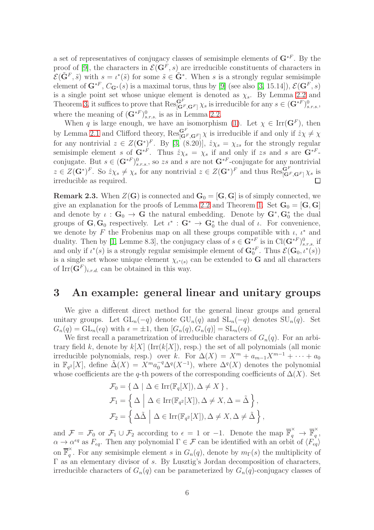a set of representatives of conjugacy classes of semisimple elements of  $\mathbf{G}^{*F}$ . By the proof of [\[9\]](#page-8-9), the characters in  $\mathcal{E}(\mathbf{G}^F, s)$  are irreducible constituents of characters in  $\mathcal{E}(\tilde{\mathbf{G}}^F, \tilde{s})$  with  $s = \iota^*(\tilde{s})$  for some  $\tilde{s} \in \tilde{\mathbf{G}}^*$ . When s is a strongly regular semisimple element of  $G^{*F}$ ,  $C_{G^*}(s)$  is a maximal torus, thus by [\[9\]](#page-8-9) (see also [\[3,](#page-8-8) 15.14]),  $\mathcal{E}(G^F,s)$ is a single point set whose unique element is denoted as  $\chi_s$ . By Lemma [2.2](#page-4-0) and Theorem [3,](#page-1-1) it suffices to prove that  $\operatorname{Res}_{[\mathbf{G}^F,\mathbf{G}^F]}^{\mathbf{G}^F} \chi_s$  is irreducible for any  $s \in (\mathbf{G}^{*F})^0_{s,r,s}$ , where the meaning of  $(\mathbf{G}^{*F})^0_{s.r.s.}$  is as in Lemma [2.2.](#page-4-0)

When q is large enough, we have an isomorphism [\(1\)](#page-3-0). Let  $\chi \in \text{Irr}(\mathbf{G}^F)$ , then by Lemma [2.1](#page-4-1) and Clifford theory,  $\text{Res}_{[\mathbf{G}^F,\mathbf{G}^F]}^{\mathbf{G}^F}\chi$  is irreducible if and only if  $\hat{z}\chi \neq \chi$ for any nontrivial  $z \in Z(\mathbf{G}^*)^F$ . By [\[3,](#page-8-8) (8.20)],  $\hat{z}\chi_s = \chi_{zs}$  for the strongly regular semisimple element s of  $\mathbf{G}^{*F}$ . Thus  $\hat{z}\chi_s = \chi_s$  if and only if zs and s are  $\mathbf{G}^{*F}$ conjugate. But  $s \in (\mathbf{G}^{*F})^0_{s,r,s}$ , so zs and s are not  $\mathbf{G}^{*F}$ -conjugate for any nontrivial  $z \in Z(\mathbf{G}^*)^F$ . So  $\hat{z}\chi_s \neq \chi_s$  for any nontrivial  $z \in Z(\mathbf{G}^*)^F$  and thus  $\text{Res}_{[\mathbf{G}^F,\mathbf{G}^F]}^{\mathbf{G}^F}\chi_s$  is irreducible as required.

**Remark 2.3.** When  $Z(G)$  is connected and  $G_0 = [G, G]$  is of simply connected, we give an explanation for the proofs of Lemma [2.2](#page-4-0) and Theorem [1.](#page-1-2) Set  $G_0 = [G, G]$ and denote by  $\iota : \mathbf{G}_0 \to \mathbf{G}$  the natural embedding. Denote by  $\mathbf{G}^*, \mathbf{G}_0^*$  the dual groups of  $\mathbf{G}, \mathbf{G}_0$  respectively. Let  $\iota^* : \mathbf{G}^* \to \mathbf{G}_0^*$  the dual of  $\iota$ . For convenience, we denote by F the Frobenius map on all these groups compatible with  $\iota$ ,  $\iota^*$  and duality. Then by [\[1,](#page-8-7) Lemme 8.3], the conjugacy class of  $s \in \mathbf{G}^{*F}$  is in Cl $(\mathbf{G}^{*F})^0_{s,r,s}$  if and only if  $\iota^*(s)$  is a strongly regular semisimple element of  $\mathbf{G}_0^{*F}$ . Thus  $\mathcal{E}(\mathbf{G}_0, \iota^*(s))$ is a single set whose unique element  $\chi_{\iota^*(s)}$  can be extended to G and all characters of  $\mathrm{Irr}(\mathbf{G}^F)_{i.r.d.}$  can be obtained in this way.

# 3 An example: general linear and unitary groups

We give a different direct method for the general linear groups and general unitary groups. Let  $GL_n(-q)$  denote  $GU_n(q)$  and  $SL_n(-q)$  denotes  $SU_n(q)$ . Set  $G_n(q) = GL_n(\epsilon q)$  with  $\epsilon = \pm 1$ , then  $[G_n(q), G_n(q)] = SL_n(\epsilon q)$ .

We first recall a parametrization of irreducible characters of  $G_n(q)$ . For an arbitrary field k, denote by  $k[X]$  (Irr( $k[X]$ ), resp.) the set of all polynomials (all monic irreducible polynomials, resp.) over k. For  $\Delta(X) = X^m + a_{m-1}X^{m-1} + \cdots + a_0$ in  $\mathbb{F}_{q^2}[X]$ , define  $\tilde{\Delta}(X) = X^m a_0^{-q} \Delta^q (X^{-1})$ , where  $\Delta^q(X)$  denotes the polynomial whose coefficients are the q-th powers of the corresponding coefficients of  $\Delta(X)$ . Set

$$
\mathcal{F}_0 = \{ \Delta \mid \Delta \in \text{Irr}(\mathbb{F}_q[X]), \Delta \neq X \},
$$
  
\n
$$
\mathcal{F}_1 = \{ \Delta \mid \Delta \in \text{Irr}(\mathbb{F}_{q^2}[X]), \Delta \neq X, \Delta = \tilde{\Delta} \},
$$
  
\n
$$
\mathcal{F}_2 = \{ \Delta \tilde{\Delta} \mid \Delta \in \text{Irr}(\mathbb{F}_{q^2}[X]), \Delta \neq X, \Delta \neq \tilde{\Delta} \},
$$

and  $\mathcal{F} = \mathcal{F}_0$  or  $\mathcal{F}_1 \cup \mathcal{F}_2$  according to  $\epsilon = 1$  or  $-1$ . Denote the map  $\overline{\mathbb{F}}_q^{\times} \to \overline{\mathbb{F}}_q^{\times}$  $\frac{1}{q}$ ,  $\alpha \to \alpha^{\epsilon q}$  as  $F_{\epsilon q}$ . Then any polynomial  $\Gamma \in \mathcal{F}$  can be identified with an orbit of  $\langle F_{\epsilon q} \rangle$ on  $\overline{\mathbb{F}}_a^\times$  $\hat{q}$ . For any semisimple element s in  $G_n(q)$ , denote by  $m_{\Gamma}(s)$  the multiplicity of Γ as an elementary divisor of s. By Lusztig's Jordan decomposition of characters, irreducible characters of  $G_n(q)$  can be parameterized by  $G_n(q)$ -conjugacy classes of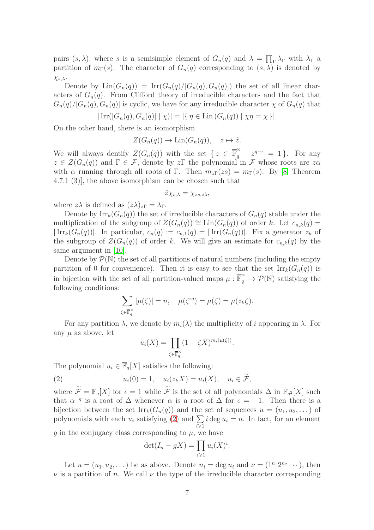pairs  $(s, \lambda)$ , where s is a semisimple element of  $G_n(q)$  and  $\lambda = \prod_{\Gamma} \lambda_{\Gamma}$  with  $\lambda_{\Gamma}$  a partition of  $m_{\Gamma}(s)$ . The character of  $G_n(q)$  corresponding to  $(s, \lambda)$  is denoted by  $χ<sub>s,λ</sub>$ .

Denote by  $\text{Lin}(G_n(q)) = \text{Irr}(G_n(q)/[G_n(q), G_n(q)])$  the set of all linear characters of  $G_n(q)$ . From Clifford theory of irreducible characters and the fact that  $G_n(q)/[G_n(q), G_n(q)]$  is cyclic, we have for any irreducible character  $\chi$  of  $G_n(q)$  that

$$
|\operatorname{Irr}([G_n(q), G_n(q)] | \chi)| = |\{\eta \in \operatorname{Lin}(G_n(q)) | \chi\eta = \chi\}|.
$$

On the other hand, there is an isomorphism

$$
Z(G_n(q)) \to \text{Lin}(G_n(q)), \quad z \mapsto \hat{z}.
$$

We will always dentify  $Z(G_n(q))$  with the set  $\{z \in \overline{\mathbb{F}}_q^{\times}$  $\frac{x}{q}$  |  $z^{q-\epsilon} = 1$  }. For any  $z \in Z(G_n(q))$  and  $\Gamma \in \mathcal{F}$ , denote by  $z\Gamma$  the polynomial in  $\mathcal F$  whose roots are  $z\alpha$ with  $\alpha$  running through all roots of Γ. Then  $m_{z\Gamma}(zs) = m_{\Gamma}(s)$ . By [\[8,](#page-8-10) Theorem 4.7.1 (3)], the above isomorphism can be chosen such that

$$
\hat{z}\chi_{s,\lambda}=\chi_{zs,z\lambda},
$$

where  $z\lambda$  is defined as  $(z\lambda)_{z\Gamma} = \lambda_{\Gamma}$ .

Denote by  $\text{Irr}_k(G_n(q))$  the set of irreducible characters of  $G_n(q)$  stable under the multiplication of the subgroup of  $Z(G_n(q)) \cong \text{Lin}(G_n(q))$  of order k. Let  $c_{n,k}(q)$  $|\operatorname{Irr}_k(G_n(q))|$ . In particular,  $c_n(q) := c_{n,1}(q) = |\operatorname{Irr}(G_n(q))|$ . Fix a generator  $z_k$  of the subgroup of  $Z(G_n(q))$  of order k. We will give an estimate for  $c_{n,k}(q)$  by the same argument in [\[10\]](#page-8-11).

Denote by  $\mathcal{P}(\mathbb{N})$  the set of all partitions of natural numbers (including the empty partition of 0 for convenience). Then it is easy to see that the set  $\text{Irr}_k(G_n(q))$  is in bijection with the set of all partition-valued maps  $\mu : \overline{\mathbb{F}}_q^{\times} \to \mathcal{P}(\mathbb{N})$  satisfying the following conditions:

$$
\sum_{\zeta \in \overline{\mathbb{F}}_q^{\times}} |\mu(\zeta)| = n, \quad \mu(\zeta^{\epsilon q}) = \mu(\zeta) = \mu(z_k \zeta).
$$

For any partition  $\lambda$ , we denote by  $m_i(\lambda)$  the multiplicity of i appearing in  $\lambda$ . For any  $\mu$  as above, let

<span id="page-6-0"></span>
$$
u_i(X) = \prod_{\zeta \in \overline{\mathbb{F}_q}^{\times}} (1 - \zeta X)^{m_i(\mu(\zeta))}.
$$

The polynomial  $u_i \in \overline{\mathbb{F}}_q[X]$  satisfies the following:

(2) 
$$
u_i(0) = 1, \quad u_i(z_k X) = u_i(X), \quad u_i \in \widetilde{\mathcal{F}},
$$

where  $\mathcal{F} = \mathbb{F}_q[X]$  for  $\epsilon = 1$  while  $\mathcal F$  is the set of all polynomials  $\Delta$  in  $\mathbb{F}_{q^2}[X]$  such that  $\alpha^{-q}$  is a root of  $\Delta$  whenever  $\alpha$  is a root of  $\Delta$  for  $\epsilon = -1$ . Then there is a bijection between the set  $\text{Irr}_k(G_n(q))$  and the set of sequences  $u = (u_1, u_2, \dots)$  of polynomials with each  $u_i$  satisfying [\(2\)](#page-6-0) and  $\Sigma$  $i\geqslant 1$  $i \deg u_i = n$ . In fact, for an element g in the conjugacy class corresponding to  $\mu$ , we have

$$
\det(I_n - gX) = \prod_{i \geq 1} u_i(X)^i.
$$

Let  $u = (u_1, u_2, \dots)$  be as above. Denote  $n_i = \deg u_i$  and  $\nu = (1^{n_1}2^{n_2}\cdots)$ , then  $\nu$  is a partition of n. We call  $\nu$  the type of the irreducible character corresponding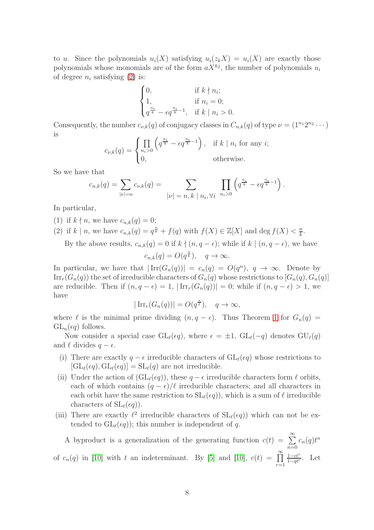to u. Since the polynomials  $u_i(X)$  satisfying  $u_i(z_kX) = u_i(X)$  are exactly those polynomials whose monomials are of the form  $aX^{kj}$ , the number of polynomials  $u_i$ of degree  $n_i$  satisfying [\(2\)](#page-6-0) is:

$$
\begin{cases} 0, & \text{if } k \nmid n_i; \\ 1, & \text{if } n_i = 0; \\ q^{\frac{n_i}{k}} - \epsilon q^{\frac{n_i}{k} - 1}, & \text{if } k \mid n_i > 0. \end{cases}
$$

Consequently, the number  $c_{\nu,k}(q)$  of conjugacy classes in  $C_{n,k}(q)$  of type  $\nu = (1^{n_1}2^{n_2}\cdots)$ is

$$
c_{\nu,k}(q) = \begin{cases} \prod_{n_i>0} \left( q^{\frac{n_i}{k}} - \epsilon q^{\frac{n_i}{k}-1} \right), & \text{if } k \mid n_i \text{ for any } i; \\ 0, & \text{otherwise.} \end{cases}
$$

So we have that

$$
c_{n,k}(q) = \sum_{|\nu|=n} c_{\nu,k}(q) = \sum_{|\nu|=n, k \mid n_i, \forall i} \prod_{n_i>0} \left( q^{\frac{n_i}{k}} - \epsilon q^{\frac{n_i}{k}-1} \right).
$$

In particular,

- (1) if  $k \nmid n$ , we have  $c_{n,k}(q) = 0$ ;
- (2) if k | n, we have  $c_{n,k}(q) = q^{\frac{n}{k}} + f(q)$  with  $f(X) \in \mathbb{Z}[X]$  and  $\deg f(X) < \frac{n}{k}$  $\frac{n}{k}$ .

By the above results,  $c_{n,k}(q) = 0$  if  $k \nmid (n, q - \epsilon)$ ; while if  $k \mid (n, q - \epsilon)$ , we have

$$
c_{n,k}(q) = O(q^{\frac{n}{k}}), \quad q \to \infty.
$$

In particular, we have that  $|\text{Irr}(G_n(q))| = c_n(q) = O(q^n)$ ,  $q \to \infty$ . Denote by  $\text{Irr}_r(G_n(q))$  the set of irreducible characters of  $G_n(q)$  whose restrictions to  $[G_n(q), G_n(q)]$ are reducible. Then if  $(n, q - \epsilon) = 1$ ,  $|\operatorname{Irr}_r(G_n(q))| = 0$ ; while if  $(n, q - \epsilon) > 1$ , we have

$$
|\operatorname{Irr}_r(G_n(q))| = O(q^{\frac{n}{\ell}}), \quad q \to \infty,
$$

where  $\ell$  is the minimal prime dividing  $(n, q - \epsilon)$ . Thus Theorem [1](#page-1-2) for  $G_n(q)$  $GL_n(\epsilon q)$  follows.

Now consider a special case  $GL_{\ell}(\epsilon q)$ , where  $\epsilon = \pm 1$ ,  $GL_{\ell}(-q)$  denotes  $GU_{\ell}(q)$ and  $\ell$  divides  $q - \epsilon$ .

- (i) There are exactly  $q \epsilon$  irreducible characters of  $GL_{\ell}(\epsilon q)$  whose restrictions to  $[\mathrm{GL}_{\ell}(\epsilon q), \mathrm{GL}_{\ell}(\epsilon q)] = \mathrm{SL}_{\ell}(q)$  are not irreducible.
- (ii) Under the action of  $(GL_{\ell}(\epsilon q))$ , these  $q \epsilon$  irreducible characters form  $\ell$  orbits, each of which contains  $(q - \epsilon)/\ell$  irreducible characters; and all characters in each orbit have the same restriction to  $SL(\epsilon q)$ , which is a sum of  $\ell$  irreducible characters of  $SL(\epsilon q)$ .
- (iii) There are exactly  $\ell^2$  irreducible characters of  $SL_{\ell}(\epsilon q)$ ) which can not be extended to  $GL$ <sub> $(\epsilon q)$ </sub>); this number is independent of q.

A byproduct is a generalization of the generating function  $c(t) = \sum_{n=0}^{\infty}$  $n=0$  $c_n(q)t^n$ of  $c_n(q)$  in [\[10\]](#page-8-11) with t an indeterminant. By [\[5\]](#page-8-12) and [10],  $c(t) = \prod_{n=1}^{\infty}$  $r=1$  $1-\epsilon t^r$  $\frac{1-\epsilon t'}{1-qt^r}$ . Let